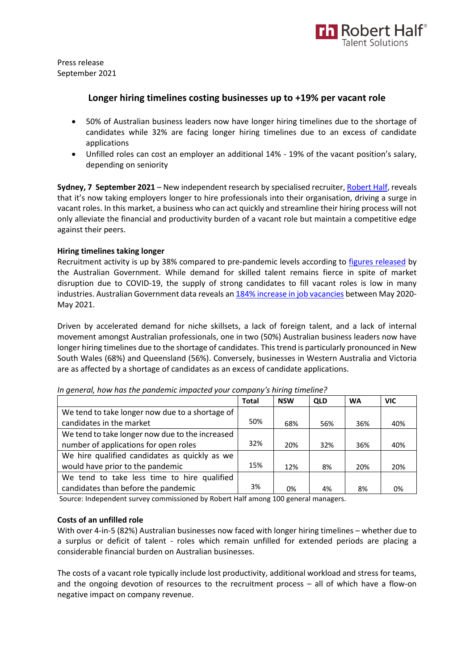

Press release September 2021

# **Longer hiring timelines costing businesses up to +19% per vacant role**

- 50% of Australian business leaders now have longer hiring timelines due to the shortage of candidates while 32% are facing longer hiring timelines due to an excess of candidate applications
- Unfilled roles can cost an employer an additional 14% 19% of the vacant position's salary, depending on seniority

**Sydney, 7 September 2021** – New independent research by specialised recruiter[, Robert Half,](https://www.roberthalf.com.au/?utm_source=roberthalf&utm_medium=pressrelease&utm_campaign=rh-all-nonspecific-ongoing) reveals that it's now taking employers longer to hire professionals into their organisation, driving a surge in vacant roles. In this market, a business who can act quickly and streamline their hiring process will not only alleviate the financial and productivity burden of a vacant role but maintain a competitive edge against their peers.

## **Hiring timelines taking longer**

Recruitment activity is up by 38% compared to pre-pandemic levels according to [figures released](https://lmip.gov.au/default.aspx?LMIP/GainInsights/VacancyReport) by the Australian Government. While demand for skilled talent remains fierce in spite of market disruption due to COVID-19, the supply of strong candidates to fill vacant roles is low in many industries. Australian Government data reveals an [184% increase in job vacancies](https://www.abs.gov.au/statistics/labour/employment-and-unemployment/job-vacancies-australia/latest-release) between May 2020-May 2021.

Driven by accelerated demand for niche skillsets, a lack of foreign talent, and a lack of internal movement amongst Australian professionals, one in two (50%) Australian business leaders now have longer hiring timelines due to the shortage of candidates. This trend is particularly pronounced in New South Wales (68%) and Queensland (56%). Conversely, businesses in Western Australia and Victoria are as affected by a shortage of candidates as an excess of candidate applications.

|                                                 | <b>Total</b> | <b>NSW</b> | <b>QLD</b> | <b>WA</b> | <b>VIC</b> |
|-------------------------------------------------|--------------|------------|------------|-----------|------------|
| We tend to take longer now due to a shortage of |              |            |            |           |            |
| candidates in the market                        | 50%          | 68%        | 56%        | 36%       | 40%        |
| We tend to take longer now due to the increased |              |            |            |           |            |
| number of applications for open roles           | 32%          | 20%        | 32%        | 36%       | 40%        |
| We hire qualified candidates as quickly as we   |              |            |            |           |            |
| would have prior to the pandemic                | 15%          | 12%        | 8%         | 20%       | 20%        |
| We tend to take less time to hire qualified     |              |            |            |           |            |
| candidates than before the pandemic             | 3%           | 0%         | 4%         | 8%        | 0%         |

*In general, how has the pandemic impacted your company's hiring timeline?* 

Source: Independent survey commissioned by Robert Half among 100 general managers.

## **Costs of an unfilled role**

With over 4-in-5 (82%) Australian businesses now faced with longer hiring timelines – whether due to a surplus or deficit of talent - roles which remain unfilled for extended periods are placing a considerable financial burden on Australian businesses.

The costs of a vacant role typically include lost productivity, additional workload and stress for teams, and the ongoing devotion of resources to the recruitment process – all of which have a flow-on negative impact on company revenue.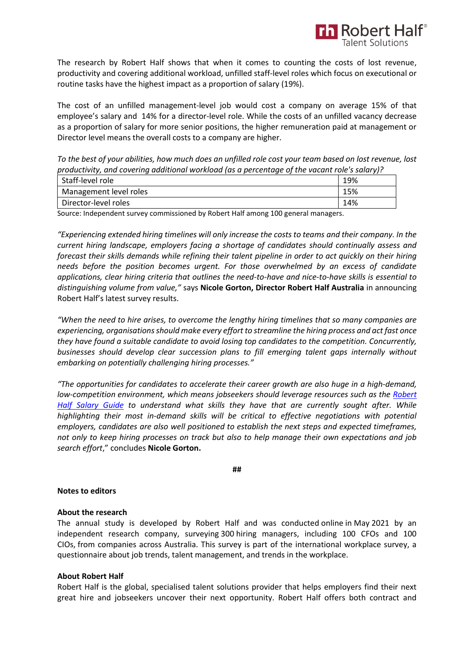

The research by Robert Half shows that when it comes to counting the costs of lost revenue, productivity and covering additional workload, unfilled staff-level roles which focus on executional or routine tasks have the highest impact as a proportion of salary (19%).

The cost of an unfilled management-level job would cost a company on average 15% of that employee's salary and 14% for a director-level role. While the costs of an unfilled vacancy decrease as a proportion of salary for more senior positions, the higher remuneration paid at management or Director level means the overall costs to a company are higher.

*To the best of your abilities, how much does an unfilled role cost your team based on lost revenue, lost productivity, and covering additional workload (as a percentage of the vacant role's salary)?* 

| Staff-level role       | 19% |
|------------------------|-----|
| Management level roles | 15% |
| Director-level roles   | 14% |

Source: Independent survey commissioned by Robert Half among 100 general managers.

*"Experiencing extended hiring timelines will only increase the costs to teams and their company. In the current hiring landscape, employers facing a shortage of candidates should continually assess and forecast their skills demands while refining their talent pipeline in order to act quickly on their hiring needs before the position becomes urgent. For those overwhelmed by an excess of candidate applications, clear hiring criteria that outlines the need-to-have and nice-to-have skills is essential to distinguishing volume from value,"* says **Nicole Gorton, Director Robert Half Australia** in announcing Robert Half's latest survey results.

*"When the need to hire arises, to overcome the lengthy hiring timelines that so many companies are experiencing, organisationsshould make every effort to streamline the hiring process and act fast once they have found a suitable candidate to avoid losing top candidates to the competition. Concurrently, businesses should develop clear succession plans to fill emerging talent gaps internally without embarking on potentially challenging hiring processes."*

*"The opportunities for candidates to accelerate their career growth are also huge in a high-demand, low-competition environment, which means jobseekers should leverage resources such as the [Robert](https://www.roberthalf.com.au/research-insights/salary-guide?utm_source=roberthalf&utm_medium=pressrelease&utm_campaign=all-salaryguide2021-ongoing)  [Half Salary Guide](https://www.roberthalf.com.au/research-insights/salary-guide?utm_source=roberthalf&utm_medium=pressrelease&utm_campaign=all-salaryguide2021-ongoing) to understand what skills they have that are currently sought after. While highlighting their most in-demand skills will be critical to effective negotiations with potential employers, candidates are also well positioned to establish the next steps and expected timeframes, not only to keep hiring processes on track but also to help manage their own expectations and job search effort*," concludes **Nicole Gorton.**

**##**

## **Notes to editors**

### **About the research**

The annual study is developed by Robert Half and was conducted online in May 2021 by an independent research company, surveying 300 hiring managers, including 100 CFOs and 100 CIOs, from companies across Australia. This survey is part of the international workplace survey, a questionnaire about job trends, talent management, and trends in the workplace.  

### **About Robert Half**

Robert Half is the global, specialised talent solutions provider that helps employers find their next great hire and jobseekers uncover their next opportunity. Robert Half offers both contract and